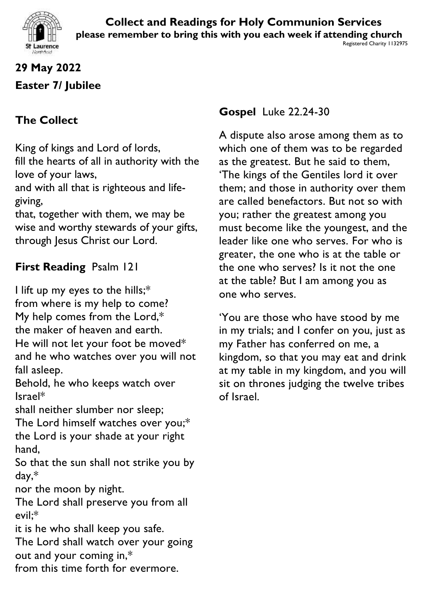

# **29 May 2022 Easter 7/ Jubilee**

# **The Collect**

King of kings and Lord of lords, fill the hearts of all in authority with the love of your laws,

and with all that is righteous and lifegiving,

that, together with them, we may be wise and worthy stewards of your gifts, through Jesus Christ our Lord.

## **First Reading** Psalm 121

I lift up my eyes to the hills;\* from where is my help to come? My help comes from the Lord,\* the maker of heaven and earth. He will not let your foot be moved\* and he who watches over you will not fall asleep.

Behold, he who keeps watch over Israel\*

shall neither slumber nor sleep;

The Lord himself watches over you;\* the Lord is your shade at your right hand,

So that the sun shall not strike you by day,\*

nor the moon by night.

The Lord shall preserve you from all evil;\*

it is he who shall keep you safe. The Lord shall watch over your going

- out and your coming in,\*
- from this time forth for evermore.

**Gospel** Luke 22.24-30

A dispute also arose among them as to which one of them was to be regarded as the greatest. But he said to them, 'The kings of the Gentiles lord it over them; and those in authority over them are called benefactors. But not so with you; rather the greatest among you must become like the youngest, and the leader like one who serves. For who is greater, the one who is at the table or the one who serves? Is it not the one at the table? But I am among you as one who serves.

'You are those who have stood by me in my trials; and I confer on you, just as my Father has conferred on me, a kingdom, so that you may eat and drink at my table in my kingdom, and you will sit on thrones judging the twelve tribes of Israel.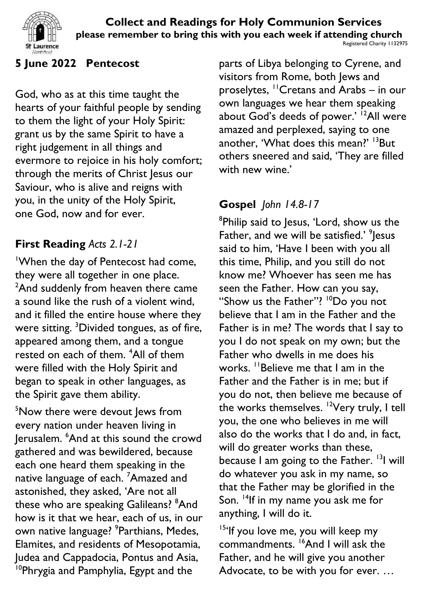

### **5 June 2022 Pentecost**

God, who as at this time taught the hearts of your faithful people by sending to them the light of your Holy Spirit: grant us by the same Spirit to have a right judgement in all things and evermore to rejoice in his holy comfort; through the merits of Christ Jesus our Saviour, who is alive and reigns with you, in the unity of the Holy Spirit, one God, now and for ever.

## **First Reading** *Acts 2.1-21*

<sup>1</sup>When the day of Pentecost had come, they were all together in one place. <sup>2</sup>And suddenly from heaven there came a sound like the rush of a violent wind, and it filled the entire house where they were sitting. <sup>3</sup>Divided tongues, as of fire, appeared among them, and a tongue rested on each of them. <sup>4</sup>All of them were filled with the Holy Spirit and began to speak in other languages, as the Spirit gave them ability.

<sup>5</sup>Now there were devout lews from every nation under heaven living in Jerusalem. <sup>6</sup>And at this sound the crowd gathered and was bewildered, because each one heard them speaking in the native language of each. <sup>7</sup>Amazed and astonished, they asked, 'Are not all these who are speaking Galileans? <sup>8</sup>And how is it that we hear, each of us, in our own native language? <sup>9</sup>Parthians, Medes, Elamites, and residents of Mesopotamia, Judea and Cappadocia, Pontus and Asia, <sup>10</sup>Phrygia and Pamphylia, Egypt and the

parts of Libya belonging to Cyrene, and visitors from Rome, both Jews and proselytes, <sup>11</sup>Cretans and Arabs – in our own languages we hear them speaking about God's deeds of power.' <sup>12</sup>All were amazed and perplexed, saying to one another, 'What does this mean?' <sup>13</sup>But others sneered and said, 'They are filled with new wine.'

# **Gospel** *John 14.8-17*

<sup>8</sup>Philip said to Jesus, 'Lord, show us the Father, and we will be satisfied.' <sup>9</sup> Jesus said to him, 'Have I been with you all this time, Philip, and you still do not know me? Whoever has seen me has seen the Father. How can you say, "Show us the Father"? <sup>10</sup>Do you not believe that I am in the Father and the Father is in me? The words that I say to you I do not speak on my own; but the Father who dwells in me does his works. <sup>11</sup>Believe me that I am in the Father and the Father is in me; but if you do not, then believe me because of the works themselves. <sup>12</sup>Very truly, I tell you, the one who believes in me will also do the works that I do and, in fact, will do greater works than these, because I am going to the Father. <sup>13</sup>I will do whatever you ask in my name, so that the Father may be glorified in the Son. <sup>14</sup>If in my name you ask me for anything, I will do it.

<sup>15'</sup>If you love me, you will keep my commandments. <sup>16</sup>And I will ask the Father, and he will give you another Advocate, to be with you for ever. …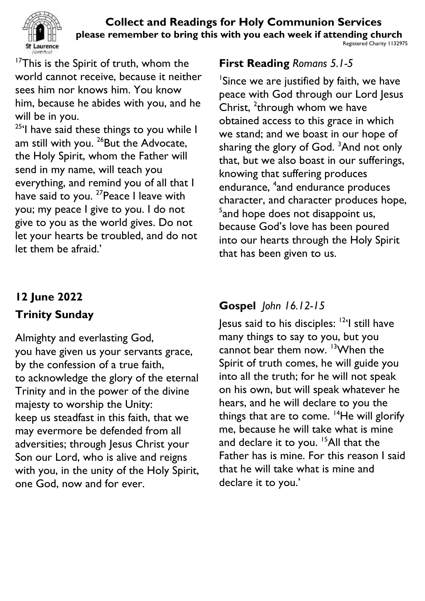

<sup>17</sup>This is the Spirit of truth, whom the world cannot receive, because it neither sees him nor knows him. You know him, because he abides with you, and he will be in you.

<sup>25</sup>'l have said these things to you while I am still with you. <sup>26</sup>But the Advocate, the Holy Spirit, whom the Father will send in my name, will teach you everything, and remind you of all that I have said to you. <sup>27</sup> Peace I leave with you; my peace I give to you. I do not give to you as the world gives. Do not let your hearts be troubled, and do not let them be afraid.'

# **12 June 2022**

# **Trinity Sunday**

Almighty and everlasting God, you have given us your servants grace, by the confession of a true faith, to acknowledge the glory of the eternal Trinity and in the power of the divine majesty to worship the Unity: keep us steadfast in this faith, that we may evermore be defended from all adversities; through Jesus Christ your Son our Lord, who is alive and reigns with you, in the unity of the Holy Spirit, one God, now and for ever.

## **First Reading** *Romans 5.1-5*

<sup>1</sup>Since we are justified by faith, we have peace with God through our Lord Jesus Christ,  $2$ through whom we have obtained access to this grace in which we stand; and we boast in our hope of sharing the glory of God. <sup>3</sup>And not only that, but we also boast in our sufferings, knowing that suffering produces endurance, <sup>4</sup>and endurance produces character, and character produces hope,  $5$ and hope does not disappoint us, because God's love has been poured into our hearts through the Holy Spirit that has been given to us.

# **Gospel** *John 16.12-15*

Jesus said to his disciples: <sup>12</sup>'I still have many things to say to you, but you cannot bear them now. <sup>13</sup>When the Spirit of truth comes, he will guide you into all the truth; for he will not speak on his own, but will speak whatever he hears, and he will declare to you the things that are to come.  $14$ He will glorify me, because he will take what is mine and declare it to you. <sup>15</sup>All that the Father has is mine. For this reason I said that he will take what is mine and declare it to you.'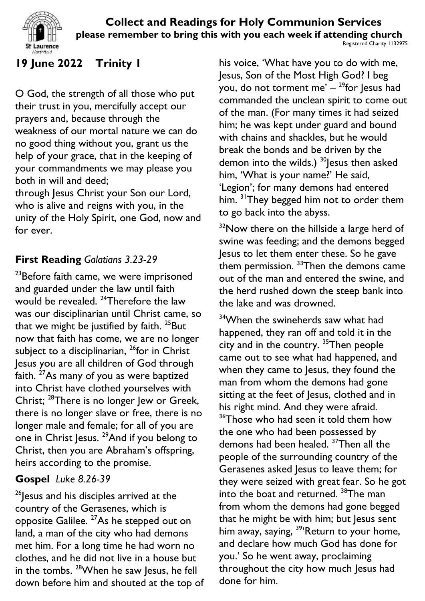

# **19 June 2022 Trinity 1**

O God, the strength of all those who put their trust in you, mercifully accept our prayers and, because through the weakness of our mortal nature we can do no good thing without you, grant us the help of your grace, that in the keeping of your commandments we may please you both in will and deed;

through Jesus Christ your Son our Lord, who is alive and reigns with you, in the unity of the Holy Spirit, one God, now and for ever.

## **First Reading** *Galatians 3.23-29*

<sup>23</sup>Before faith came, we were imprisoned and guarded under the law until faith would be revealed. <sup>24</sup>Therefore the law was our disciplinarian until Christ came, so that we might be justified by faith.  $25$ But now that faith has come, we are no longer subject to a disciplinarian, <sup>26</sup>for in Christ Jesus you are all children of God through faith. <sup>27</sup>As many of you as were baptized into Christ have clothed yourselves with Christ; <sup>28</sup>There is no longer Jew or Greek, there is no longer slave or free, there is no longer male and female; for all of you are one in Christ Jesus. <sup>29</sup>And if you belong to Christ, then you are Abraham's offspring, heirs according to the promise.

## **Gospel** *Luke 8.26-39*

 $26$  esus and his disciples arrived at the country of the Gerasenes, which is opposite Galilee. <sup>27</sup>As he stepped out on land, a man of the city who had demons met him. For a long time he had worn no clothes, and he did not live in a house but in the tombs. <sup>28</sup>When he saw Jesus, he fell down before him and shouted at the top of his voice, 'What have you to do with me, Jesus, Son of the Most High God? I beg you, do not torment me' – <sup>29</sup>for Jesus had commanded the unclean spirit to come out of the man. (For many times it had seized him; he was kept under guard and bound with chains and shackles, but he would break the bonds and be driven by the demon into the wilds.)  $30$  Jesus then asked him, 'What is your name?' He said, 'Legion'; for many demons had entered him. <sup>31</sup>They begged him not to order them to go back into the abyss.

 $32$ Now there on the hillside a large herd of swine was feeding; and the demons begged Jesus to let them enter these. So he gave them permission.  $33$ Then the demons came out of the man and entered the swine, and the herd rushed down the steep bank into the lake and was drowned.

<sup>34</sup>When the swineherds saw what had happened, they ran off and told it in the city and in the country. <sup>35</sup>Then people came out to see what had happened, and when they came to Jesus, they found the man from whom the demons had gone sitting at the feet of Jesus, clothed and in his right mind. And they were afraid.  $36$ Those who had seen it told them how the one who had been possessed by demons had been healed. <sup>37</sup>Then all the people of the surrounding country of the Gerasenes asked Jesus to leave them; for they were seized with great fear. So he got into the boat and returned. <sup>38</sup>The man from whom the demons had gone begged that he might be with him; but Jesus sent him away, saying, <sup>39</sup>'Return to your home, and declare how much God has done for you.' So he went away, proclaiming throughout the city how much Jesus had done for him.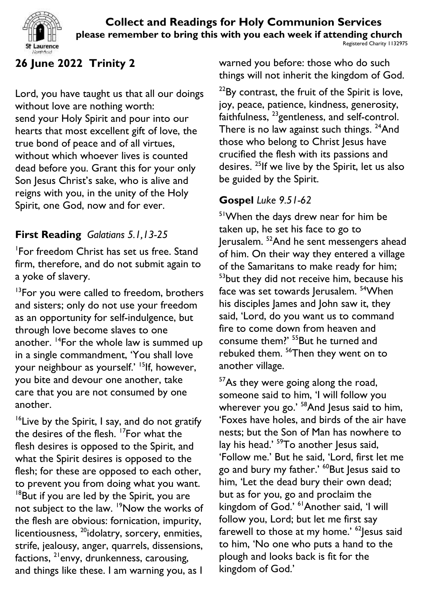



## **26 June 2022 Trinity 2**

Lord, you have taught us that all our doings without love are nothing worth: send your Holy Spirit and pour into our hearts that most excellent gift of love, the true bond of peace and of all virtues, without which whoever lives is counted dead before you. Grant this for your only Son Jesus Christ's sake, who is alive and reigns with you, in the unity of the Holy Spirit, one God, now and for ever.

## **First Reading** *Galatians 5.1,13-25*

1 For freedom Christ has set us free. Stand firm, therefore, and do not submit again to a yoke of slavery.

 $13$ For you were called to freedom, brothers and sisters; only do not use your freedom as an opportunity for self-indulgence, but through love become slaves to one another. <sup>14</sup>For the whole law is summed up in a single commandment, 'You shall love your neighbour as yourself.' <sup>15</sup>lf, however, you bite and devour one another, take care that you are not consumed by one another.

 $16$ Live by the Spirit, I say, and do not gratify the desires of the flesh. <sup>17</sup>For what the flesh desires is opposed to the Spirit, and what the Spirit desires is opposed to the flesh; for these are opposed to each other, to prevent you from doing what you want. <sup>18</sup>But if you are led by the Spirit, you are not subject to the law. <sup>19</sup>Now the works of the flesh are obvious: fornication, impurity, licentiousness, <sup>20</sup>idolatry, sorcery, enmities, strife, jealousy, anger, quarrels, dissensions, factions,  $^{21}$ envy, drunkenness, carousing, and things like these. I am warning you, as I

warned you before: those who do such things will not inherit the kingdom of God.

 $^{22}$ By contrast, the fruit of the Spirit is love, joy, peace, patience, kindness, generosity, faithfulness, <sup>23</sup>gentleness, and self-control. There is no law against such things. <sup>24</sup>And those who belong to Christ Jesus have crucified the flesh with its passions and desires. <sup>25</sup>If we live by the Spirit, let us also be guided by the Spirit.

### **Gospel** *Luke 9.51-62*

<sup>51</sup>When the days drew near for him be taken up, he set his face to go to Jerusalem. <sup>52</sup>And he sent messengers ahead of him. On their way they entered a village of the Samaritans to make ready for him; <sup>53</sup>but they did not receive him, because his face was set towards Jerusalem. <sup>54</sup>When his disciples James and John saw it, they said, 'Lord, do you want us to command fire to come down from heaven and consume them?' <sup>55</sup>But he turned and rebuked them. <sup>56</sup>Then they went on to another village.

 $57$ As they were going along the road, someone said to him, 'I will follow you wherever you go.' <sup>58</sup>And Jesus said to him, 'Foxes have holes, and birds of the air have nests; but the Son of Man has nowhere to lay his head.' <sup>59</sup>To another Jesus said, 'Follow me.' But he said, 'Lord, first let me go and bury my father.' <sup>60</sup>But Jesus said to him, 'Let the dead bury their own dead; but as for you, go and proclaim the kingdom of God.' <sup>61</sup>Another said, 'I will follow you, Lord; but let me first say farewell to those at my home.'  $62$  Jesus said to him, 'No one who puts a hand to the plough and looks back is fit for the kingdom of God.'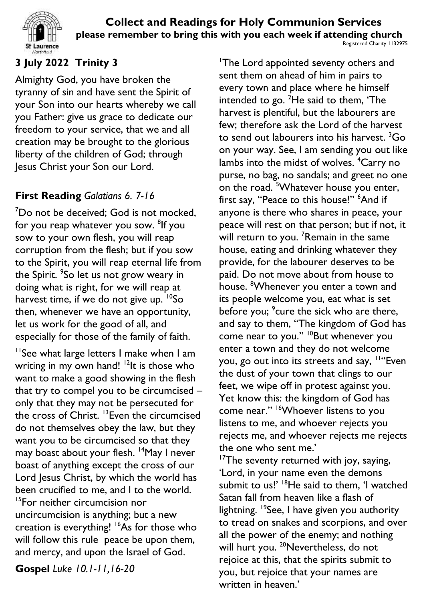

## **3 July 2022 Trinity 3**

Almighty God, you have broken the tyranny of sin and have sent the Spirit of your Son into our hearts whereby we call you Father: give us grace to dedicate our freedom to your service, that we and all creation may be brought to the glorious liberty of the children of God; through Jesus Christ your Son our Lord.

## **First Reading** *Galatians 6. 7-16*

<sup>7</sup>Do not be deceived; God is not mocked, for you reap whatever you sow. <sup>8</sup>lf you sow to your own flesh, you will reap corruption from the flesh; but if you sow to the Spirit, you will reap eternal life from the Spirit. <sup>9</sup>So let us not grow weary in doing what is right, for we will reap at harvest time, if we do not give up.  $^{10}$ So then, whenever we have an opportunity, let us work for the good of all, and especially for those of the family of faith.

<sup>11</sup>See what large letters I make when I am writing in my own hand!  $\frac{12}{12}$  is those who want to make a good showing in the flesh that try to compel you to be circumcised – only that they may not be persecuted for the cross of Christ. <sup>13</sup>Even the circumcised do not themselves obey the law, but they want you to be circumcised so that they may boast about your flesh. <sup>14</sup>May I never boast of anything except the cross of our Lord Jesus Christ, by which the world has been crucified to me, and I to the world. <sup>15</sup>For neither circumcision nor uncircumcision is anything; but a new creation is everything! <sup>16</sup>As for those who will follow this rule peace be upon them, and mercy, and upon the Israel of God.

**Gospel** *Luke 10.1-11,16-20*

<sup>1</sup>The Lord appointed seventy others and sent them on ahead of him in pairs to every town and place where he himself intended to go.  ${}^{2}$ He said to them, 'The harvest is plentiful, but the labourers are few; therefore ask the Lord of the harvest to send out labourers into his harvest.  ${}^{3}$ Go on your way. See, I am sending you out like lambs into the midst of wolves. <sup>4</sup>Carry no purse, no bag, no sandals; and greet no one on the road. <sup>5</sup>Whatever house you enter, first say, "Peace to this house!" <sup>6</sup>And if anyone is there who shares in peace, your peace will rest on that person; but if not, it will return to you. <sup>7</sup>Remain in the same house, eating and drinking whatever they provide, for the labourer deserves to be paid. Do not move about from house to house. <sup>8</sup>Whenever you enter a town and its people welcome you, eat what is set before you; <sup>9</sup>cure the sick who are there, and say to them, "The kingdom of God has come near to you." <sup>10</sup>But whenever you enter a town and they do not welcome you, go out into its streets and say, <sup>11"</sup>Even the dust of your town that clings to our feet, we wipe off in protest against you. Yet know this: the kingdom of God has come near." <sup>16</sup>Whoever listens to you listens to me, and whoever rejects you rejects me, and whoever rejects me rejects the one who sent me.'

<sup>17</sup>The seventy returned with joy, saying, 'Lord, in your name even the demons submit to us!' <sup>18</sup>He said to them, 'I watched Satan fall from heaven like a flash of lightning. <sup>19</sup>See, I have given you authority to tread on snakes and scorpions, and over all the power of the enemy; and nothing will hurt you. <sup>20</sup>Nevertheless, do not rejoice at this, that the spirits submit to you, but rejoice that your names are written in heaven.'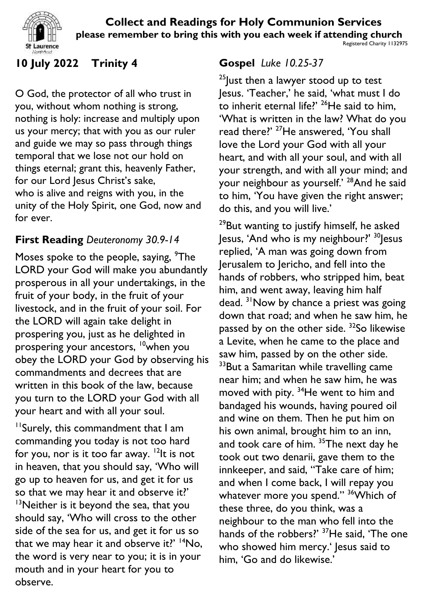

Registered Charity 1132975

# **10 July 2022 Trinity 4**

O God, the protector of all who trust in you, without whom nothing is strong, nothing is holy: increase and multiply upon us your mercy; that with you as our ruler and guide we may so pass through things temporal that we lose not our hold on things eternal; grant this, heavenly Father, for our Lord Jesus Christ's sake, who is alive and reigns with you, in the unity of the Holy Spirit, one God, now and for ever.

## **First Reading** *Deuteronomy 30.9-14*

Moses spoke to the people, saying, <sup>9</sup>The LORD your God will make you abundantly prosperous in all your undertakings, in the fruit of your body, in the fruit of your livestock, and in the fruit of your soil. For the LORD will again take delight in prospering you, just as he delighted in prospering your ancestors, <sup>10</sup>when you obey the LORD your God by observing his commandments and decrees that are written in this book of the law, because you turn to the LORD your God with all your heart and with all your soul.

<sup>11</sup>Surely, this commandment that I am commanding you today is not too hard for you, nor is it too far away. <sup>12</sup>It is not in heaven, that you should say, 'Who will go up to heaven for us, and get it for us so that we may hear it and observe it?'  $13$ Neither is it beyond the sea, that you should say, 'Who will cross to the other side of the sea for us, and get it for us so that we may hear it and observe it?'  $14N$ o, the word is very near to you; it is in your mouth and in your heart for you to observe.

## **Gospel** *Luke 10.25-37*

 $25$  Just then a lawyer stood up to test Jesus. 'Teacher,' he said, 'what must I do to inherit eternal life?'  $26$ He said to him, 'What is written in the law? What do you read there?' <sup>27</sup>He answered, 'You shall love the Lord your God with all your heart, and with all your soul, and with all your strength, and with all your mind; and your neighbour as yourself.' <sup>28</sup>And he said to him, 'You have given the right answer; do this, and you will live.'

 $29$ But wanting to justify himself, he asked Jesus, 'And who is my neighbour?'  $30$  Jesus replied, 'A man was going down from Jerusalem to Jericho, and fell into the hands of robbers, who stripped him, beat him, and went away, leaving him half dead. <sup>31</sup> Now by chance a priest was going down that road; and when he saw him, he passed by on the other side. <sup>32</sup>So likewise a Levite, when he came to the place and saw him, passed by on the other side. <sup>33</sup>But a Samaritan while travelling came near him; and when he saw him, he was moved with pity.  $34$ He went to him and bandaged his wounds, having poured oil and wine on them. Then he put him on his own animal, brought him to an inn, and took care of him.<sup>35</sup>The next day he took out two denarii, gave them to the innkeeper, and said, "Take care of him; and when I come back, I will repay you whatever more you spend." <sup>36</sup> Which of these three, do you think, was a neighbour to the man who fell into the hands of the robbers?' <sup>37</sup>He said, 'The one who showed him mercy.' Jesus said to him, 'Go and do likewise.'